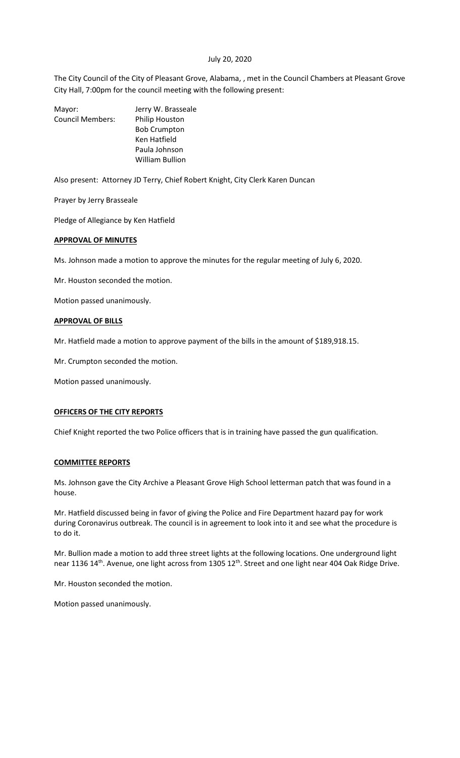## July 20, 2020

The City Council of the City of Pleasant Grove, Alabama, , met in the Council Chambers at Pleasant Grove City Hall, 7:00pm for the council meeting with the following present:

| Mayor:                  | Jerry W. Brasseale     |
|-------------------------|------------------------|
| <b>Council Members:</b> | Philip Houston         |
|                         | <b>Bob Crumpton</b>    |
|                         | Ken Hatfield           |
|                         | Paula Johnson          |
|                         | <b>William Bullion</b> |
|                         |                        |

Also present: Attorney JD Terry, Chief Robert Knight, City Clerk Karen Duncan

Prayer by Jerry Brasseale

Pledge of Allegiance by Ken Hatfield

#### **APPROVAL OF MINUTES**

Ms. Johnson made a motion to approve the minutes for the regular meeting of July 6, 2020.

Mr. Houston seconded the motion.

Motion passed unanimously.

#### **APPROVAL OF BILLS**

Mr. Hatfield made a motion to approve payment of the bills in the amount of \$189,918.15.

Mr. Crumpton seconded the motion.

Motion passed unanimously.

#### **OFFICERS OF THE CITY REPORTS**

Chief Knight reported the two Police officers that is in training have passed the gun qualification.

## **COMMITTEE REPORTS**

Ms. Johnson gave the City Archive a Pleasant Grove High School letterman patch that was found in a house.

Mr. Hatfield discussed being in favor of giving the Police and Fire Department hazard pay for work during Coronavirus outbreak. The council is in agreement to look into it and see what the procedure is to do it.

Mr. Bullion made a motion to add three street lights at the following locations. One underground light near 1136 14<sup>th</sup>. Avenue, one light across from 1305 12<sup>th</sup>. Street and one light near 404 Oak Ridge Drive.

Mr. Houston seconded the motion.

Motion passed unanimously.